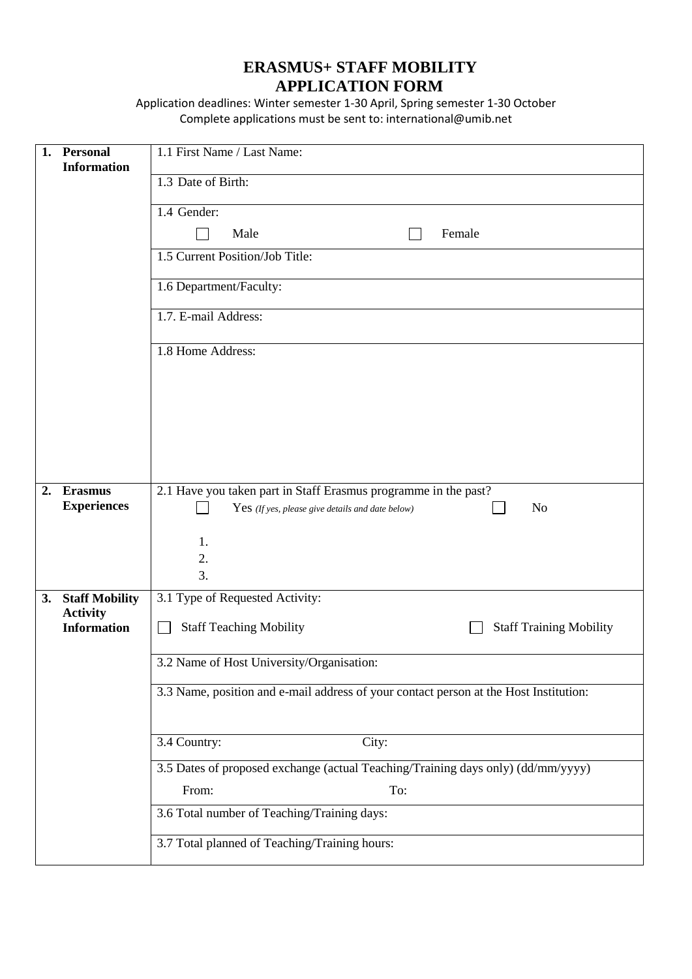## **ERASMUS+ STAFF MOBILITY APPLICATION FORM**

Application deadlines: Winter semester 1-30 April, Spring semester 1-30 October Complete applications must be sent to: international@umib.net

| 1. | <b>Personal</b><br><b>Information</b>    | 1.1 First Name / Last Name:                                                           |
|----|------------------------------------------|---------------------------------------------------------------------------------------|
|    |                                          | 1.3 Date of Birth:                                                                    |
|    |                                          | 1.4 Gender:                                                                           |
|    |                                          | Female<br>Male                                                                        |
|    |                                          | 1.5 Current Position/Job Title:                                                       |
|    |                                          | 1.6 Department/Faculty:                                                               |
|    |                                          | 1.7. E-mail Address:                                                                  |
|    |                                          | 1.8 Home Address:                                                                     |
|    |                                          |                                                                                       |
|    |                                          |                                                                                       |
|    |                                          |                                                                                       |
|    |                                          |                                                                                       |
| 2. | <b>Erasmus</b><br><b>Experiences</b>     | 2.1 Have you taken part in Staff Erasmus programme in the past?                       |
|    |                                          | N <sub>o</sub><br>$Yes$ (If yes, please give details and date below)                  |
|    |                                          | 1.<br>2.                                                                              |
|    |                                          | 3.                                                                                    |
| 3. | <b>Staff Mobility</b><br><b>Activity</b> | 3.1 Type of Requested Activity:                                                       |
|    | <b>Information</b>                       | <b>Staff Teaching Mobility</b><br><b>Staff Training Mobility</b>                      |
|    |                                          | 3.2 Name of Host University/Organisation:                                             |
|    |                                          | 3.3 Name, position and e-mail address of your contact person at the Host Institution: |
|    |                                          |                                                                                       |
|    |                                          | 3.4 Country:<br>City:                                                                 |
|    |                                          | 3.5 Dates of proposed exchange (actual Teaching/Training days only) (dd/mm/yyyy)      |
|    |                                          | From:<br>To:<br>3.6 Total number of Teaching/Training days:                           |
|    |                                          |                                                                                       |
|    |                                          | 3.7 Total planned of Teaching/Training hours:                                         |